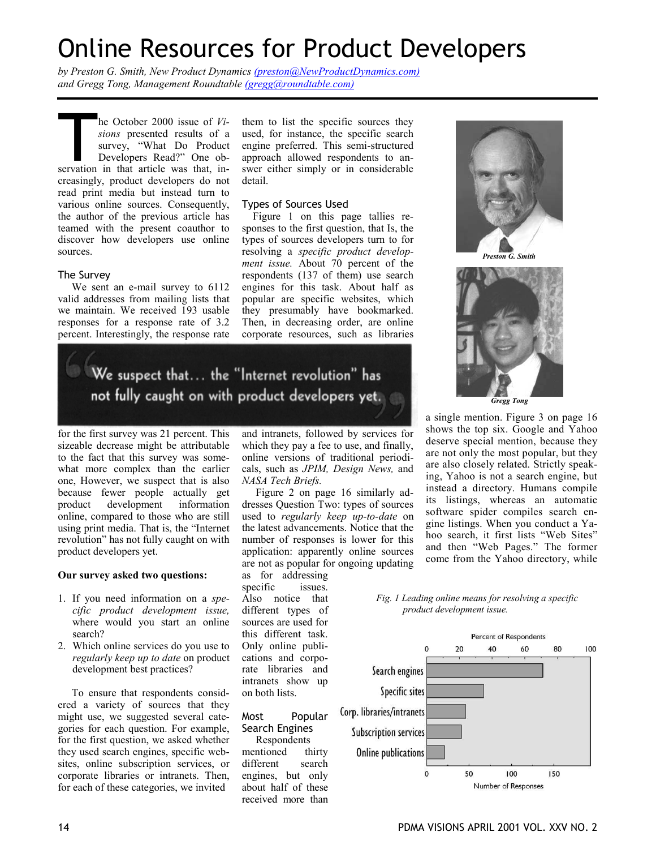# Online Resources for Product Developers

*by Preston G. Smith, New Product Dynamics [\(preston@NewProductDynamics.com\)](mailto:preston@NewProductDynamics.com) and Gregg Tong, Management Roundtable ([gregg@roundtable.com\)](mailto: gregg@roundtable.com)*

he October 2000 issue of *Visions* presented results of a survey, "What Do Product Developers Read?" One obhe October 2000 issue of *Visions* presented results of a survey, "What Do Product Developers Read?" One observation in that article was that, increasingly, product developers do not read print media but instead turn to various online sources. Consequently, the author of the previous article has teamed with the present coauthor to discover how developers use online sources.

#### The Survey

We sent an e-mail survey to 6112 valid addresses from mailing lists that we maintain. We received 193 usable responses for a response rate of 3.2 percent. Interestingly, the response rate them to list the specific sources they used, for instance, the specific search engine preferred. This semi-structured approach allowed respondents to answer either simply or in considerable detail.

### Types of Sources Used

 Figure 1 on this page tallies responses to the first question, that Is, the types of sources developers turn to for resolving a *specific product development issue.* About 70 percent of the respondents (137 of them) use search engines for this task. About half as popular are specific websites, which they presumably have bookmarked. Then, in decreasing order, are online corporate resources, such as libraries

# We suspect that... the "Internet revolution" has not fully caught on with product developers yet.

for the first survey was 21 percent. This sizeable decrease might be attributable to the fact that this survey was somewhat more complex than the earlier one, However, we suspect that is also because fewer people actually get product development information online, compared to those who are still using print media. That is, the "Internet" revolution" has not fully caught on with product developers yet.

#### **Our survey asked two questions:**

- 1. If you need information on a *specific product development issue,*  where would you start an online search?
- 2. Which online services do you use to *regularly keep up to date* on product development best practices?

 To ensure that respondents considered a variety of sources that they might use, we suggested several categories for each question. For example, for the first question, we asked whether they used search engines, specific websites, online subscription services, or corporate libraries or intranets. Then, for each of these categories, we invited

and intranets, followed by services for which they pay a fee to use, and finally, online versions of traditional periodicals, such as *JPIM, Design News,* and *NASA Tech Briefs.* 

Figure 2 on page 16 similarly addresses Question Two: types of sources used to *regularly keep up-to-date* on the latest advancements. Notice that the number of responses is lower for this application: apparently online sources are not as popular for ongoing updating

as for addressing specific issues. Also notice that different types of sources are used for this different task. Only online publications and corporate libraries and intranets show up on both lists.

## Most Popular Search Engines

 Respondents mentioned thirty different search engines, but only about half of these received more than





a single mention. Figure 3 on page 16 shows the top six. Google and Yahoo deserve special mention, because they are not only the most popular, but they are also closely related. Strictly speaking, Yahoo is not a search engine, but instead a directory. Humans compile its listings, whereas an automatic software spider compiles search engine listings. When you conduct a Yahoo search, it first lists "Web Sites" *Gregg Tong* 

and then "Web Pages." The former come from the Yahoo directory, while

#### *Fig. 1 Leading online means for resolving a specific product development issue.*

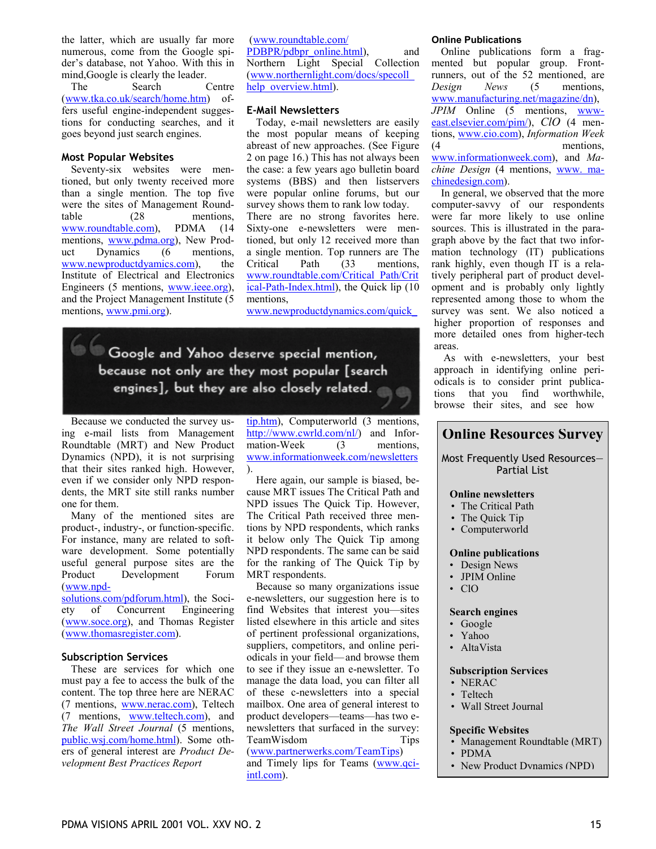the latter, which are usually far more numerous, come from the Google spider's database, not Yahoo. With this in mind,Google is clearly the leader.

The Search Centre [\(www.tka.co.uk/search/home.htm\)](http://www.tka.co.uk/search/home.htm) offers useful engine-independent suggestions for conducting searches, and it goes beyond just search engines.

#### **Most Popular Websites**

Seventy-six websites were mentioned, but only twenty received more than a single mention. The top five were the sites of Management Roundtable (28 mentions, [www.roundtable.com\)](http://www.roundtable.com/), PDMA (14 mentions, [www.pdma.org\),](http://www.pdma.org/) New Product Dynamics (6 mentions, [www.newproductdyamics.com\)](http://www.newproductdynamics.com/), the Institute of Electrical and Electronics Engineers (5 mentions, [www.ieee.org\)](http://www.ieee.org/), and the Project Management Institute (5 mentions[, www.pmi.org\)](http://www.pmi.org/).

#### (www.roundtable.com/

[PDBPR/pdbpr\\_online.html\)](http://www.roundtable.com/PDBPR/pdbpr_online.html), and Northern Light Special Collection [\(www.northernlight.com/docs/specoll\\_](http://www.northernlight.com/docs/specoll_help_overview.html) help\_overview.html).

#### **E-Mail Newsletters**

Today, e-mail newsletters are easily the most popular means of keeping abreast of new approaches. (See Figure 2 on page 16.) This has not always been the case: a few years ago bulletin board systems (BBS) and then listservers were popular online forums, but our survey shows them to rank low today. There are no strong favorites here. Sixty-one e-newsletters were mentioned, but only 12 received more than a single mention. Top runners are The Critical Path (33 mentions, [www.roundtable.com/Critical\\_Path/Crit](http://www.roundtable.com/Critical_Path/Critical-Path-Index.html) [ical-Path-Index.html\),](http://www.roundtable.com/Critical_Path/Critical-Path-Index.html) the Quick lip (10 mentions,

[www.newproductdynamics.com/quick\\_](http://www.newproductdynamics.com/quick_tip.htm)

Google and Yahoo deserve special mention, because not only are they most popular [search engines], but they are also closely related.

Because we conducted the survey using e-mail lists from Management Roundtable (MRT) and New Product Dynamics (NPD), it is not surprising that their sites ranked high. However, even if we consider only NPD respondents, the MRT site still ranks number one for them.

Many of the mentioned sites are product-, industry-, or function-specific. For instance, many are related to software development. Some potentially useful general purpose sites are the Product Development Forum (www.npd-

[solutions.com/pdforum.html\)](http://www.npd-solutions.com/pdforum.html), the Society of Concurrent Engineering [\(www.soce.org\)](http://www.soce.org/), and Thomas Register [\(www.thomasregister.com\)](http://www.thomasregister.com/).

#### **Subscription Services**

These are services for which one must pay a fee to access the bulk of the content. The top three here are NERAC (7 mentions, [www.nerac.com\)](http://www.nerac.com/), Teltech (7 mentions, [www.teltech.com\)](http://www.teltech.com/), and *The Wall Street Journal* (5 mentions, [public.wsj.com/home.html\)](http://public.wsj.com/home.html). Some others of general interest are *Product Development Best Practices Report* 

[tip.htm\)](http://www.newproductdynamics.com/quick_tip.htm), Computerworld (3 mentions, [http://www.cwrld.com/nl/\)](http://www.cwrld.com/nl/) and Information-Week (3 mentions, [www.informationweek.com/newsletters](http://www.informationweek.com/newsletters) ).

Here again, our sample is biased, because MRT issues The Critical Path and NPD issues The Quick Tip. However, The Critical Path received three mentions by NPD respondents, which ranks it below only The Quick Tip among NPD respondents. The same can be said for the ranking of The Quick Tip by MRT respondents.

Because so many organizations issue e-newsletters, our suggestion here is to find Websites that interest you—sites listed elsewhere in this article and sites of pertinent professional organizations, suppliers, competitors, and online periodicals in your field—and browse them to see if they issue an e-newsletter. To manage the data load, you can filter all of these c-newsletters into a special mailbox. One area of general interest to product developers—teams—has two enewsletters that surfaced in the survey: TeamWisdom Tips

[\(www.partnerwerks.com/TeamTips\)](http://www.partnerwerks.com/TeamTips/) and Timely lips for Teams [\(www.qci](http://www.qci-intl.com/)[intl.com\)](http://www.qci-intl.com/).

#### **Online Publications**

Online publications form a fragmented but popular group. Frontrunners, out of the 52 mentioned, are *Design News* (5 mentions, [www.manufacturing.net/magazine/dn\)](http://www.manufacturing.net/imagazine/dn), *JPIM* Online (5 mentions, [www](http://www-east.elsevier.com/pim/)[east.elsevier.com/pim/\)](http://www-east.elsevier.com/pim/), *ClO* (4 mentions, [www.cio.com\),](http://www.cio.com/) *Information Week*  (4 mentions, [www.informationweek.com\)](http://www.informationweek.com/), and *Machine Design* (4 mentions, [www. ma](http://www.machinedesign.com/)[chinedesign.com\)](http://www.machinedesign.com/).

In general, we observed that the more computer-savvy of our respondents were far more likely to use online sources. This is illustrated in the paragraph above by the fact that two information technology (IT) publications rank highly, even though IT is a relatively peripheral part of product development and is probably only lightly represented among those to whom the survey was sent. We also noticed a higher proportion of responses and more detailed ones from higher-tech areas.

As with e-newsletters, your best approach in identifying online periodicals is to consider print publications that you find worthwhile, browse their sites, and see how

# **Online Resources Survey**

Most Frequently Used Resources-Partial List

#### **Online newsletters**

- The Critical Path
- The Quick Tip
- Computerworld

#### **Online publications**

- Design News
- JPIM Online
- ï ClO

#### **Search engines**

- Google
- ï Yahoo
- AltaVista

#### **Subscription Services**

- NERAC
- ï Teltech
- Wall Street Journal

#### **Specific Websites**

- Management Roundtable (MRT)
- PDMA
	- New Product Dynamics (NPD)